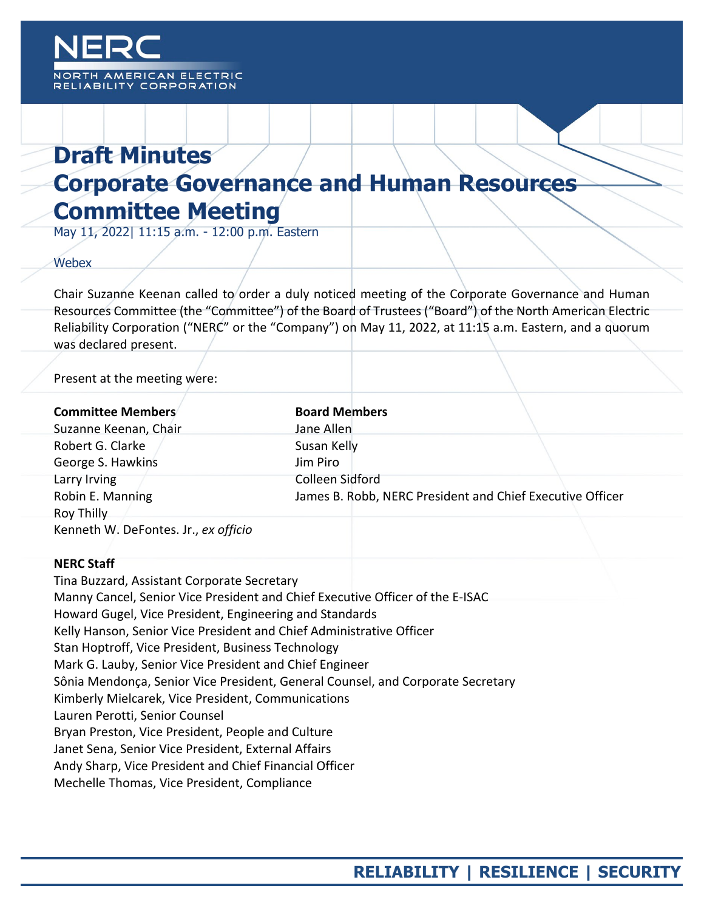# **Draft Minutes Corporate Governance and Human Resources Committee Meeting**

May 11, 2022| 11:15 a.m. - 12:00 p.m. Eastern

## **Webex**

Chair Suzanne Keenan called to order a duly noticed meeting of the Corporate Governance and Human Resources Committee (the "Committee") of the Board of Trustees ("Board") of the North American Electric Reliability Corporation ("NERC" or the "Company") on May 11, 2022, at 11:15 a.m. Eastern, and a quorum was declared present.

Present at the meeting were:

| <b>Committee Members</b>             | <b>Board Members</b>                                      |
|--------------------------------------|-----------------------------------------------------------|
| Suzanne Keenan, Chair                | Jane Allen                                                |
| Robert G. Clarke                     | Susan Kelly                                               |
| George S. Hawkins                    | Jim Piro                                                  |
| Larry Irving                         | Colleen Sidford                                           |
| Robin E. Manning                     | James B. Robb, NERC President and Chief Executive Officer |
| Roy Thilly                           |                                                           |
| Kenneth W. DeFontes. Jr., ex officio |                                                           |

## **NERC Staff**

Tina Buzzard, Assistant Corporate Secretary Manny Cancel, Senior Vice President and Chief Executive Officer of the E-ISAC Howard Gugel, Vice President, Engineering and Standards Kelly Hanson, Senior Vice President and Chief Administrative Officer Stan Hoptroff, Vice President, Business Technology Mark G. Lauby, Senior Vice President and Chief Engineer Sônia Mendonça, Senior Vice President, General Counsel, and Corporate Secretary Kimberly Mielcarek, Vice President, Communications Lauren Perotti, Senior Counsel Bryan Preston, Vice President, People and Culture Janet Sena, Senior Vice President, External Affairs Andy Sharp, Vice President and Chief Financial Officer Mechelle Thomas, Vice President, Compliance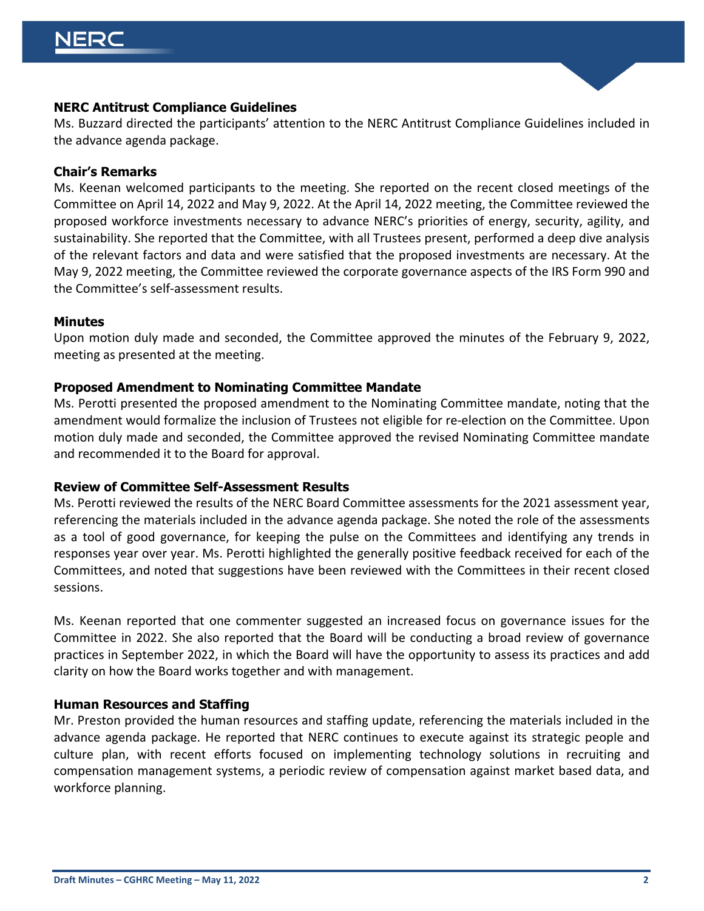## **NERC Antitrust Compliance Guidelines**

Ms. Buzzard directed the participants' attention to the NERC Antitrust Compliance Guidelines included in the advance agenda package.

#### **Chair's Remarks**

Ms. Keenan welcomed participants to the meeting. She reported on the recent closed meetings of the Committee on April 14, 2022 and May 9, 2022. At the April 14, 2022 meeting, the Committee reviewed the proposed workforce investments necessary to advance NERC's priorities of energy, security, agility, and sustainability. She reported that the Committee, with all Trustees present, performed a deep dive analysis of the relevant factors and data and were satisfied that the proposed investments are necessary. At the May 9, 2022 meeting, the Committee reviewed the corporate governance aspects of the IRS Form 990 and the Committee's self-assessment results.

#### **Minutes**

Upon motion duly made and seconded, the Committee approved the minutes of the February 9, 2022, meeting as presented at the meeting.

## **Proposed Amendment to Nominating Committee Mandate**

Ms. Perotti presented the proposed amendment to the Nominating Committee mandate, noting that the amendment would formalize the inclusion of Trustees not eligible for re-election on the Committee. Upon motion duly made and seconded, the Committee approved the revised Nominating Committee mandate and recommended it to the Board for approval.

## **Review of Committee Self-Assessment Results**

Ms. Perotti reviewed the results of the NERC Board Committee assessments for the 2021 assessment year, referencing the materials included in the advance agenda package. She noted the role of the assessments as a tool of good governance, for keeping the pulse on the Committees and identifying any trends in responses year over year. Ms. Perotti highlighted the generally positive feedback received for each of the Committees, and noted that suggestions have been reviewed with the Committees in their recent closed sessions.

Ms. Keenan reported that one commenter suggested an increased focus on governance issues for the Committee in 2022. She also reported that the Board will be conducting a broad review of governance practices in September 2022, in which the Board will have the opportunity to assess its practices and add clarity on how the Board works together and with management.

#### **Human Resources and Staffing**

Mr. Preston provided the human resources and staffing update, referencing the materials included in the advance agenda package. He reported that NERC continues to execute against its strategic people and culture plan, with recent efforts focused on implementing technology solutions in recruiting and compensation management systems, a periodic review of compensation against market based data, and workforce planning.